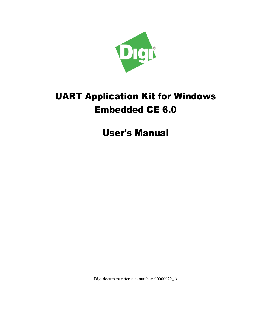

# **UART Application Kit for Windows Embedded CE 6.0**

**User's Manual** 

Digi document reference number: 90000922\_A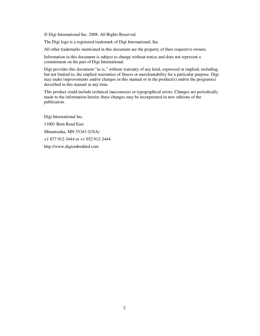Digi International Inc. 2008. All Rights Reserved.

The Digi logo is a registered trademark of Digi International, Inc.

All other trademarks mentioned in this document are the property of their respective owners.

Information in this document is subject to change without notice and does not represent a commitment on the part of Digi International.

Digi provides this document "as is," without warranty of any kind, expressed or implied, including, but not limited to, the implied warranties of fitness or merchantability for a particular purpose. Digi may make improvements and/or changes in this manual or in the product(s) and/or the program(s) described in this manual at any time.

This product could include technical inaccuracies or typographical errors. Changes are periodically made to the information herein; these changes may be incorporated in new editions of the publication.

Digi International Inc. 11001 Bren Road East Minnetonka, MN 55343 (USA) +1 877 912-3444 or +1 952 912-3444 http://www.digiembedded.com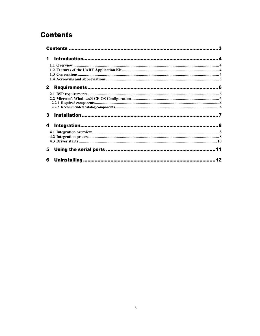# **Contents**

| $\mathbf 1$  |  |
|--------------|--|
|              |  |
|              |  |
|              |  |
|              |  |
| $\mathbf{2}$ |  |
|              |  |
|              |  |
|              |  |
|              |  |
| 3            |  |
| 4            |  |
|              |  |
|              |  |
|              |  |
| 5            |  |
| 6            |  |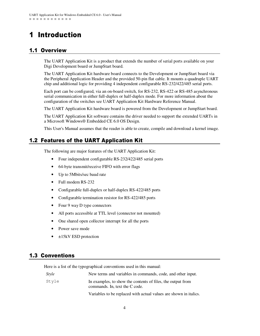# 1 Introduction

## 1.1 Overview

The UART Application Kit is a product that extends the number of serial ports available on your Digi Development board or JumpStart board.

The UART Application Kit hardware board connects to the Development or JumpStart board via the Peripheral Application Header and the provided 50-pin flat cable. It mounts a quadruple UART chip and additional logic for providing 4 independent configurable RS-232/422/485 serial ports.

Each port can be configured, via an on-board switch, for RS-232, RS-422 or RS-485 asynchronous serial communication in either full-duplex or half-duplex mode. For more information about the configuration of the switches see UART Application Kit Hardware Reference Manual.

The UART Application Kit hardware board is powered from the Development or JumpStart board.

The UART Application Kit software contains the driver needed to support the extended UARTs in a Microsoft Windows® Embedded CE 6.0 OS Design.

This User's Manual assumes that the reader is able to create, compile and download a kernel image.

### 1.2 Features of the UART Application Kit

The following are major features of the UART Application Kit:

- Four independent configurable RS-232/422/485 serial ports
- 64-byte transmit/receive FIFO with error flags
- Up to 5Mbits/sec baud rate
- Full modem RS-232
- Configurable full-duplex or half-duplex RS-422/485 ports
- Configurable termination resistor for RS-422/485 ports
- Four 9 way D type connectors
- All ports accessible at TTL level (connector not mounted)
- One shared open collector interrupt for all the ports
- Power save mode
- ±15kV ESD protection

#### **1.3 Conventions**

Here is a list of the typographical conventions used in this manual:

| <i>Style</i> | New terms and variables in commands, code, and other input.                                   |
|--------------|-----------------------------------------------------------------------------------------------|
| Style        | In examples, to show the contents of files, the output from<br>commands. In, text the C code. |
|              | Variables to be replaced with actual values are shown in italics.                             |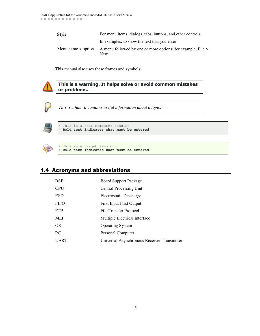| <b>Style</b>         | For menu items, dialogs, tabs, buttons, and other controls.         |
|----------------------|---------------------------------------------------------------------|
|                      | In examples, to show the text that you enter                        |
| Menu name $>$ option | A menu followed by one or more options; for example, File ><br>New. |

This manual also uses these frames and symbols:



#### This is a warning. It helps solve or avoid common mistakes or problems.



*This is a hint. It contains useful information about a topic.*



This is a host computer session > **Bold text indicates what must be entered**.



This is a target session > **Bold text indicates what must be entered**.

### 1.4 Acronyms and abbreviations

| <b>BSP</b>  | <b>Board Support Package</b>                |
|-------------|---------------------------------------------|
| <b>CPU</b>  | Central Processing Unit                     |
| <b>ESD</b>  | Electrostatic Discharge                     |
| <b>FIFO</b> | <b>First Input First Output</b>             |
| <b>FTP</b>  | File Transfer Protocol                      |
| MEI         | Multiple Electrical Interface               |
| OS          | <b>Operating System</b>                     |
| PC.         | Personal Computer                           |
| <b>UART</b> | Universal Asynchronous Receiver Transmitter |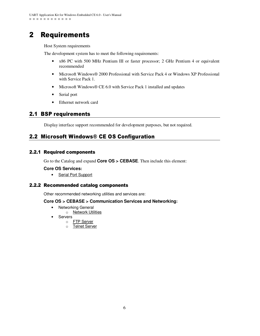# 2 Requirements

Host System requirements

The development system has to meet the following requirements:

- x86 PC with 500 MHz Pentium III or faster processor; 2 GHz Pentium 4 or equivalent recommended
- Microsoft Windows<sup>®</sup> 2000 Professional with Service Pack 4 or Windows XP Professional with Service Pack 1.
- Microsoft Windows® CE 6.0 with Service Pack 1 installed and updates
- Serial port
- Ethernet network card

### **2.1 BSP requirements**

Display interface support recommended for development purposes, but not required.

### 2.2 Microsoft Windows® CE OS Configuration

#### **2.2.1 Required components**

Go to the Catalog and expand **Core OS > CEBASE**. Then include this element:

#### **Core OS Services:**

• Serial Port Support

#### 2.2.2 Recommended catalog components

Other recommended networking utilities and services are:

#### **Core OS > CEBASE > Communication Services and Networking:**

- Networking General
	- o **Network Utilities**
- Servers
	- o FTP Server
		- o Telnet Server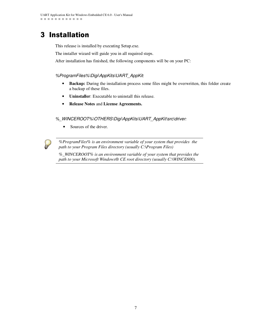# 3 Installation

This release is installed by executing Setup.exe.

The installer wizard will guide you in all required steps.

After installation has finished, the following components will be on your PC:

#### *%ProgramFiles%\Digi\AppKits\UART\_AppKit*:

- **Backup:** During the installation process some files might be overwritten, this folder create a backup of these files.
- **Uninstaller**: Executable to uninstall this release.
- **Release Notes** and **License Agreements.**

#### *%\_WINCEROOT%\OTHERS\Digi\AppKits\UART\_AppKit\src\driver:*

• Sources of the driver.

*%ProgramFiles% is an environment variable of your system that provides the path to your Program Files directory (usually C:\Program Files)*

*%\_WINCEROOT% is an environment variable of your system that provides the path to your Microsoft Windows® CE root directory (usually C:\WINCE600).*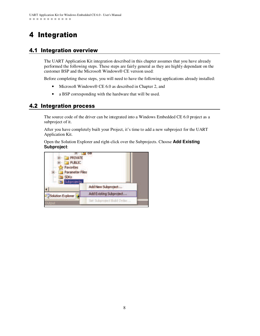# 4 Integration

### 4.1 Integration overview

The UART Application Kit integration described in this chapter assumes that you have already performed the following steps. These steps are fairly general as they are highly dependant on the customer BSP and the Microsoft Windows® CE version used:

Before completing these steps, you will need to have the following applications already installed:

- Microsoft Windows® CE 6.0 as described in Chapter 2, and
- a BSP corresponding with the hardware that will be used.

### 4.2 Integration process

The source code of the driver can be integrated into a Windows Embedded CE 6.0 project as a subproject of it.

After you have completely built your Project, it's time to add a new subproject for the UART Application Kit.

Open the Solution Explorer and right-click over the Subprojects. Choose **Add Existing Subproject**:

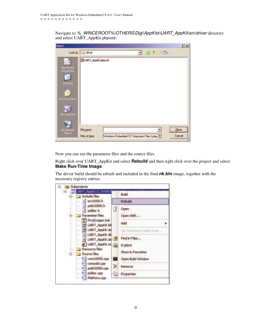Navigate to % WINCEROOT%\OTHERS\Digi\AppKits\UART\_AppKit\src\driver directory and select UART\_AppKit.pbpxml:

| <b>Open</b>                    |                    |  |                                               |               |   | ? x    |
|--------------------------------|--------------------|--|-----------------------------------------------|---------------|---|--------|
| Look in:                       | $\Box$ driver      |  |                                               | $Q$ $\hat{J}$ | m |        |
| My Recent<br>Documents         | UART_AppKit.pbpxml |  |                                               |               |   |        |
| <b>Desktop</b><br>My Documents |                    |  |                                               |               |   |        |
| My Computer                    |                    |  |                                               |               |   |        |
| My Network<br>Places           | File name:         |  |                                               |               |   | Qpen   |
|                                | Files of type:     |  | Windows Embedded CE Subproject Files [.pbp> * |               |   | Cancel |

Now you can see the parameter files and the source files.

Right click over UART\_AppKit and select **Rebuild** and then right click over the project and select **Make Run-Time Image**.

The driver build should be rebuilt and included in the final **nk.bin** image, together with the necessary registry entries.

| <b>UART_AppKit (C:/WINCE</b><br>8<br><b>Include files</b>              |     | Build                        |  |  |  |
|------------------------------------------------------------------------|-----|------------------------------|--|--|--|
| isr16550.h<br>'nТ<br>$100 - 100$                                       |     | Rebuild                      |  |  |  |
| h] pdd16550.h<br>$\frac{1}{2}$<br>pddisr.h<br>h<br><br>Parameter files |     | Open<br>Open With            |  |  |  |
| <sup>o</sup> ProjSysgen.bat<br><b>UART AppKit.bit</b><br>$\cdots$      |     | <b>Add</b>                   |  |  |  |
| UART_AppKit.da<br>$\frac{1}{2}$                                        |     | Set Subproject Build Order   |  |  |  |
| UART_AppKit.db<br>1.1.1<br>UART_AppKit.de<br><br>J UART_AppKit.re      |     | Find in Files                |  |  |  |
| Resource files:<br><b>Source files</b>                                 |     | Explore<br>Show in Favorites |  |  |  |
| $C$ <sup>+1</sup> com $16550$ .cpp                                     | ब्स | Open Build Window            |  |  |  |
| $C^{+1}$ cserpdd.cpp<br>$C^{+1}$ pdd16550.cpp<br>$\cdots$              |     | Remove                       |  |  |  |
| $C^{(*)}$ pddisr.cpp<br>Platform.cpp<br>$ $ C++                        | la  | Properties                   |  |  |  |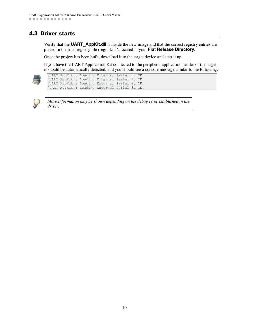## 4.3 Driver starts

Verify that the **UART\_AppKit.dll** is inside the new image and that the correct registry entries are placed in the final registry file (reginit.ini), located in your **Flat Release Directory**.

Once the project has been built, download it to the target device and start it up.

If you have the UART Application Kit connected to the peripheral application header of the target, it should be automatically detected, and you should see a console message similar to the following:



| [UART AppKit]: Loading External Serial 0 OK. |  |  |  |
|----------------------------------------------|--|--|--|
| [UART_AppKit]: Loading External Serial 1 OK. |  |  |  |
| [UART_AppKit]: Loading External Serial 2 OK. |  |  |  |
| [UART_AppKit]: Loading External Serial 3 OK. |  |  |  |



*More information may be shown depending on the debug level established in the driver.*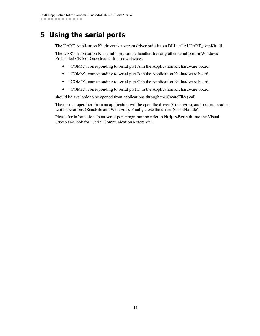# 5 Using the serial ports

The UART Application Kit driver is a stream driver built into a DLL called UART\_AppKit.dll.

The UART Application Kit serial ports can be handled like any other serial port in Windows Embedded CE 6.0. Once loaded four new devices:

- 'COM5:', corresponding to serial port A in the Application Kit hardware board.
- 'COM6:', corresponding to serial port B in the Application Kit hardware board.
- 'COM7:', corresponding to serial port C in the Application Kit hardware board.
- 'COM8:', corresponding to serial port D in the Application Kit hardware board.

should be available to be opened from applications through the CreateFile() call.

The normal operation from an application will be open the driver (CreateFile), and perform read or write operations (ReadFile and WriteFile). Finally close the driver (CloseHandle).

Please for information about serial port programming refer to **Help->Search** into the Visual Studio and look for "Serial Communication Reference".